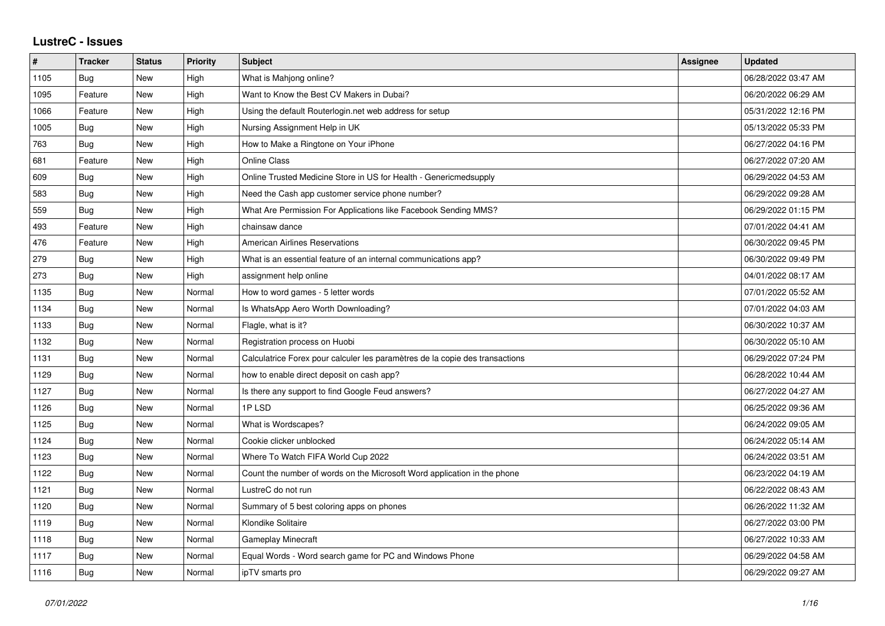## **LustreC - Issues**

| #    | <b>Tracker</b> | <b>Status</b> | <b>Priority</b> | <b>Subject</b>                                                               | <b>Assignee</b> | <b>Updated</b>      |
|------|----------------|---------------|-----------------|------------------------------------------------------------------------------|-----------------|---------------------|
| 1105 | Bug            | <b>New</b>    | High            | What is Mahjong online?                                                      |                 | 06/28/2022 03:47 AM |
| 1095 | Feature        | <b>New</b>    | High            | Want to Know the Best CV Makers in Dubai?                                    |                 | 06/20/2022 06:29 AM |
| 1066 | Feature        | New           | High            | Using the default Routerlogin.net web address for setup                      |                 | 05/31/2022 12:16 PM |
| 1005 | <b>Bug</b>     | <b>New</b>    | High            | Nursing Assignment Help in UK                                                |                 | 05/13/2022 05:33 PM |
| 763  | <b>Bug</b>     | <b>New</b>    | High            | How to Make a Ringtone on Your iPhone                                        |                 | 06/27/2022 04:16 PM |
| 681  | Feature        | <b>New</b>    | High            | <b>Online Class</b>                                                          |                 | 06/27/2022 07:20 AM |
| 609  | Bug            | <b>New</b>    | High            | Online Trusted Medicine Store in US for Health - Genericmedsupply            |                 | 06/29/2022 04:53 AM |
| 583  | <b>Bug</b>     | <b>New</b>    | High            | Need the Cash app customer service phone number?                             |                 | 06/29/2022 09:28 AM |
| 559  | Bug            | New           | High            | What Are Permission For Applications like Facebook Sending MMS?              |                 | 06/29/2022 01:15 PM |
| 493  | Feature        | <b>New</b>    | High            | chainsaw dance                                                               |                 | 07/01/2022 04:41 AM |
| 476  | Feature        | <b>New</b>    | High            | American Airlines Reservations                                               |                 | 06/30/2022 09:45 PM |
| 279  | <b>Bug</b>     | New           | High            | What is an essential feature of an internal communications app?              |                 | 06/30/2022 09:49 PM |
| 273  | Bug            | <b>New</b>    | High            | assignment help online                                                       |                 | 04/01/2022 08:17 AM |
| 1135 | Bug            | <b>New</b>    | Normal          | How to word games - 5 letter words                                           |                 | 07/01/2022 05:52 AM |
| 1134 | Bug            | <b>New</b>    | Normal          | Is WhatsApp Aero Worth Downloading?                                          |                 | 07/01/2022 04:03 AM |
| 1133 | <b>Bug</b>     | New           | Normal          | Flagle, what is it?                                                          |                 | 06/30/2022 10:37 AM |
| 1132 | <b>Bug</b>     | <b>New</b>    | Normal          | Registration process on Huobi                                                |                 | 06/30/2022 05:10 AM |
| 1131 | Bug            | <b>New</b>    | Normal          | Calculatrice Forex pour calculer les paramètres de la copie des transactions |                 | 06/29/2022 07:24 PM |
| 1129 | <b>Bug</b>     | <b>New</b>    | Normal          | how to enable direct deposit on cash app?                                    |                 | 06/28/2022 10:44 AM |
| 1127 | Bug            | <b>New</b>    | Normal          | Is there any support to find Google Feud answers?                            |                 | 06/27/2022 04:27 AM |
| 1126 | Bug            | New           | Normal          | 1PLSD                                                                        |                 | 06/25/2022 09:36 AM |
| 1125 | <b>Bug</b>     | <b>New</b>    | Normal          | What is Wordscapes?                                                          |                 | 06/24/2022 09:05 AM |
| 1124 | Bug            | <b>New</b>    | Normal          | Cookie clicker unblocked                                                     |                 | 06/24/2022 05:14 AM |
| 1123 | Bug            | <b>New</b>    | Normal          | Where To Watch FIFA World Cup 2022                                           |                 | 06/24/2022 03:51 AM |
| 1122 | <b>Bug</b>     | <b>New</b>    | Normal          | Count the number of words on the Microsoft Word application in the phone     |                 | 06/23/2022 04:19 AM |
| 1121 | Bug            | <b>New</b>    | Normal          | LustreC do not run                                                           |                 | 06/22/2022 08:43 AM |
| 1120 | Bug            | <b>New</b>    | Normal          | Summary of 5 best coloring apps on phones                                    |                 | 06/26/2022 11:32 AM |
| 1119 | <b>Bug</b>     | <b>New</b>    | Normal          | Klondike Solitaire                                                           |                 | 06/27/2022 03:00 PM |
| 1118 | Bug            | New           | Normal          | Gameplay Minecraft                                                           |                 | 06/27/2022 10:33 AM |
| 1117 | Bug            | <b>New</b>    | Normal          | Equal Words - Word search game for PC and Windows Phone                      |                 | 06/29/2022 04:58 AM |
| 1116 | <b>Bug</b>     | <b>New</b>    | Normal          | ipTV smarts pro                                                              |                 | 06/29/2022 09:27 AM |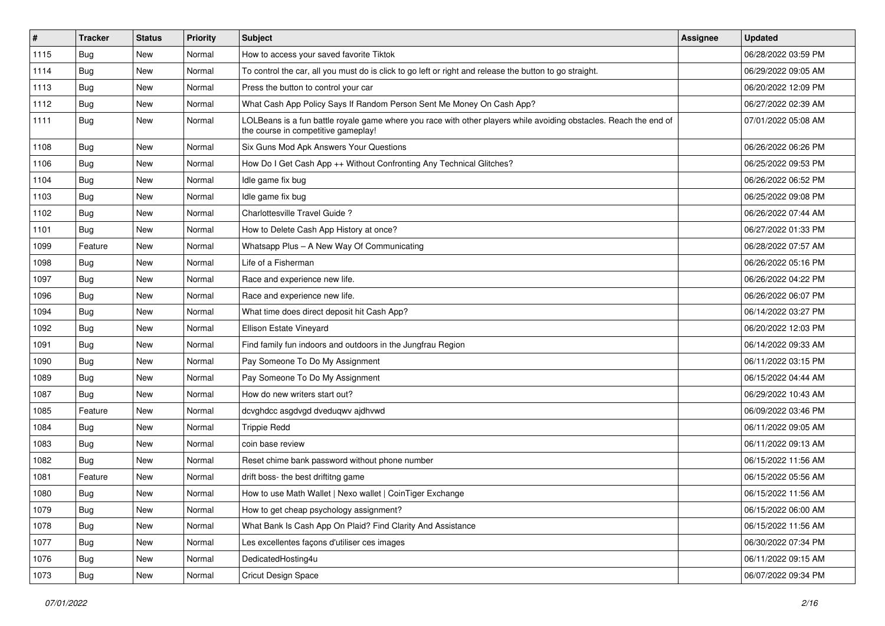| $\vert$ # | <b>Tracker</b> | <b>Status</b> | Priority | Subject                                                                                                                                                  | Assignee | <b>Updated</b>      |
|-----------|----------------|---------------|----------|----------------------------------------------------------------------------------------------------------------------------------------------------------|----------|---------------------|
| 1115      | <b>Bug</b>     | New           | Normal   | How to access your saved favorite Tiktok                                                                                                                 |          | 06/28/2022 03:59 PM |
| 1114      | Bug            | New           | Normal   | To control the car, all you must do is click to go left or right and release the button to go straight.                                                  |          | 06/29/2022 09:05 AM |
| 1113      | <b>Bug</b>     | New           | Normal   | Press the button to control your car                                                                                                                     |          | 06/20/2022 12:09 PM |
| 1112      | <b>Bug</b>     | New           | Normal   | What Cash App Policy Says If Random Person Sent Me Money On Cash App?                                                                                    |          | 06/27/2022 02:39 AM |
| 1111      | Bug            | New           | Normal   | LOLBeans is a fun battle royale game where you race with other players while avoiding obstacles. Reach the end of<br>the course in competitive gameplay! |          | 07/01/2022 05:08 AM |
| 1108      | Bug            | New           | Normal   | Six Guns Mod Apk Answers Your Questions                                                                                                                  |          | 06/26/2022 06:26 PM |
| 1106      | Bug            | New           | Normal   | How Do I Get Cash App ++ Without Confronting Any Technical Glitches?                                                                                     |          | 06/25/2022 09:53 PM |
| 1104      | <b>Bug</b>     | New           | Normal   | Idle game fix bug                                                                                                                                        |          | 06/26/2022 06:52 PM |
| 1103      | Bug            | New           | Normal   | Idle game fix bug                                                                                                                                        |          | 06/25/2022 09:08 PM |
| 1102      | Bug            | New           | Normal   | Charlottesville Travel Guide ?                                                                                                                           |          | 06/26/2022 07:44 AM |
| 1101      | Bug            | New           | Normal   | How to Delete Cash App History at once?                                                                                                                  |          | 06/27/2022 01:33 PM |
| 1099      | Feature        | New           | Normal   | Whatsapp Plus - A New Way Of Communicating                                                                                                               |          | 06/28/2022 07:57 AM |
| 1098      | Bug            | New           | Normal   | Life of a Fisherman                                                                                                                                      |          | 06/26/2022 05:16 PM |
| 1097      | Bug            | New           | Normal   | Race and experience new life.                                                                                                                            |          | 06/26/2022 04:22 PM |
| 1096      | Bug            | New           | Normal   | Race and experience new life.                                                                                                                            |          | 06/26/2022 06:07 PM |
| 1094      | Bug            | New           | Normal   | What time does direct deposit hit Cash App?                                                                                                              |          | 06/14/2022 03:27 PM |
| 1092      | Bug            | New           | Normal   | Ellison Estate Vineyard                                                                                                                                  |          | 06/20/2022 12:03 PM |
| 1091      | <b>Bug</b>     | New           | Normal   | Find family fun indoors and outdoors in the Jungfrau Region                                                                                              |          | 06/14/2022 09:33 AM |
| 1090      | Bug            | New           | Normal   | Pay Someone To Do My Assignment                                                                                                                          |          | 06/11/2022 03:15 PM |
| 1089      | Bug            | New           | Normal   | Pay Someone To Do My Assignment                                                                                                                          |          | 06/15/2022 04:44 AM |
| 1087      | Bug            | New           | Normal   | How do new writers start out?                                                                                                                            |          | 06/29/2022 10:43 AM |
| 1085      | Feature        | New           | Normal   | dcvghdcc asgdvgd dveduqwv ajdhvwd                                                                                                                        |          | 06/09/2022 03:46 PM |
| 1084      | <b>Bug</b>     | New           | Normal   | <b>Trippie Redd</b>                                                                                                                                      |          | 06/11/2022 09:05 AM |
| 1083      | Bug            | New           | Normal   | coin base review                                                                                                                                         |          | 06/11/2022 09:13 AM |
| 1082      | Bug            | New           | Normal   | Reset chime bank password without phone number                                                                                                           |          | 06/15/2022 11:56 AM |
| 1081      | Feature        | New           | Normal   | drift boss- the best driftitng game                                                                                                                      |          | 06/15/2022 05:56 AM |
| 1080      | <b>Bug</b>     | New           | Normal   | How to use Math Wallet   Nexo wallet   CoinTiger Exchange                                                                                                |          | 06/15/2022 11:56 AM |
| 1079      | <b>Bug</b>     | New           | Normal   | How to get cheap psychology assignment?                                                                                                                  |          | 06/15/2022 06:00 AM |
| 1078      | <b>Bug</b>     | New           | Normal   | What Bank Is Cash App On Plaid? Find Clarity And Assistance                                                                                              |          | 06/15/2022 11:56 AM |
| 1077      | Bug            | New           | Normal   | Les excellentes façons d'utiliser ces images                                                                                                             |          | 06/30/2022 07:34 PM |
| 1076      | <b>Bug</b>     | New           | Normal   | DedicatedHosting4u                                                                                                                                       |          | 06/11/2022 09:15 AM |
| 1073      | Bug            | New           | Normal   | Cricut Design Space                                                                                                                                      |          | 06/07/2022 09:34 PM |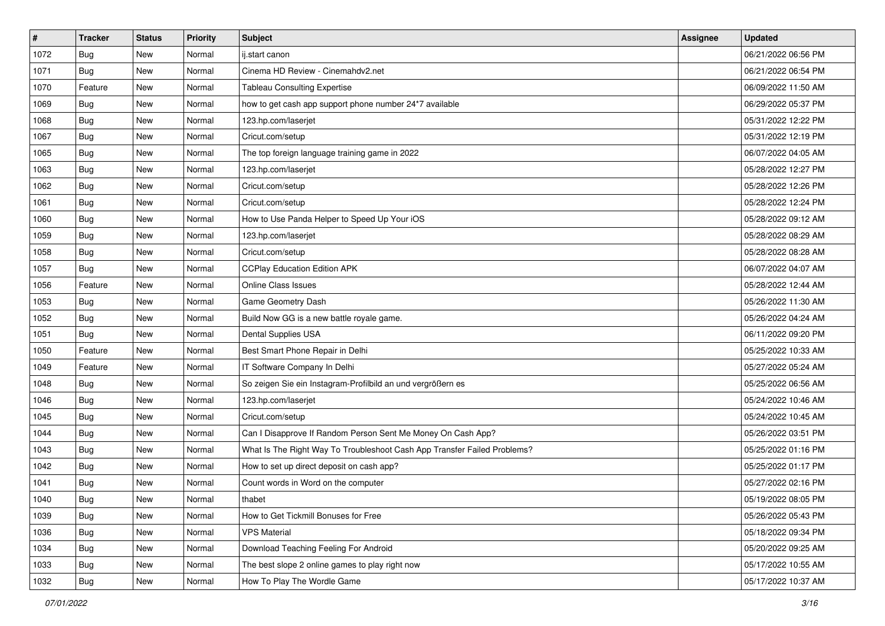| $\vert$ # | <b>Tracker</b> | <b>Status</b> | Priority | Subject                                                                  | Assignee | <b>Updated</b>      |
|-----------|----------------|---------------|----------|--------------------------------------------------------------------------|----------|---------------------|
| 1072      | <b>Bug</b>     | New           | Normal   | ij.start canon                                                           |          | 06/21/2022 06:56 PM |
| 1071      | <b>Bug</b>     | New           | Normal   | Cinema HD Review - Cinemahdy2.net                                        |          | 06/21/2022 06:54 PM |
| 1070      | Feature        | New           | Normal   | <b>Tableau Consulting Expertise</b>                                      |          | 06/09/2022 11:50 AM |
| 1069      | <b>Bug</b>     | New           | Normal   | how to get cash app support phone number 24*7 available                  |          | 06/29/2022 05:37 PM |
| 1068      | Bug            | New           | Normal   | 123.hp.com/laserjet                                                      |          | 05/31/2022 12:22 PM |
| 1067      | <b>Bug</b>     | New           | Normal   | Cricut.com/setup                                                         |          | 05/31/2022 12:19 PM |
| 1065      | <b>Bug</b>     | New           | Normal   | The top foreign language training game in 2022                           |          | 06/07/2022 04:05 AM |
| 1063      | <b>Bug</b>     | New           | Normal   | 123.hp.com/laserjet                                                      |          | 05/28/2022 12:27 PM |
| 1062      | <b>Bug</b>     | New           | Normal   | Cricut.com/setup                                                         |          | 05/28/2022 12:26 PM |
| 1061      | <b>Bug</b>     | New           | Normal   | Cricut.com/setup                                                         |          | 05/28/2022 12:24 PM |
| 1060      | Bug            | New           | Normal   | How to Use Panda Helper to Speed Up Your iOS                             |          | 05/28/2022 09:12 AM |
| 1059      | <b>Bug</b>     | New           | Normal   | 123.hp.com/laserjet                                                      |          | 05/28/2022 08:29 AM |
| 1058      | Bug            | New           | Normal   | Cricut.com/setup                                                         |          | 05/28/2022 08:28 AM |
| 1057      | Bug            | New           | Normal   | <b>CCPlay Education Edition APK</b>                                      |          | 06/07/2022 04:07 AM |
| 1056      | Feature        | New           | Normal   | Online Class Issues                                                      |          | 05/28/2022 12:44 AM |
| 1053      | Bug            | New           | Normal   | Game Geometry Dash                                                       |          | 05/26/2022 11:30 AM |
| 1052      | <b>Bug</b>     | New           | Normal   | Build Now GG is a new battle royale game.                                |          | 05/26/2022 04:24 AM |
| 1051      | Bug            | New           | Normal   | Dental Supplies USA                                                      |          | 06/11/2022 09:20 PM |
| 1050      | Feature        | New           | Normal   | Best Smart Phone Repair in Delhi                                         |          | 05/25/2022 10:33 AM |
| 1049      | Feature        | New           | Normal   | IT Software Company In Delhi                                             |          | 05/27/2022 05:24 AM |
| 1048      | Bug            | New           | Normal   | So zeigen Sie ein Instagram-Profilbild an und vergrößern es              |          | 05/25/2022 06:56 AM |
| 1046      | <b>Bug</b>     | New           | Normal   | 123.hp.com/laserjet                                                      |          | 05/24/2022 10:46 AM |
| 1045      | <b>Bug</b>     | New           | Normal   | Cricut.com/setup                                                         |          | 05/24/2022 10:45 AM |
| 1044      | Bug            | New           | Normal   | Can I Disapprove If Random Person Sent Me Money On Cash App?             |          | 05/26/2022 03:51 PM |
| 1043      | <b>Bug</b>     | New           | Normal   | What Is The Right Way To Troubleshoot Cash App Transfer Failed Problems? |          | 05/25/2022 01:16 PM |
| 1042      | <b>Bug</b>     | New           | Normal   | How to set up direct deposit on cash app?                                |          | 05/25/2022 01:17 PM |
| 1041      | <b>Bug</b>     | New           | Normal   | Count words in Word on the computer                                      |          | 05/27/2022 02:16 PM |
| 1040      | Bug            | New           | Normal   | thabet                                                                   |          | 05/19/2022 08:05 PM |
| 1039      | <b>Bug</b>     | New           | Normal   | How to Get Tickmill Bonuses for Free                                     |          | 05/26/2022 05:43 PM |
| 1036      | <b>Bug</b>     | New           | Normal   | <b>VPS Material</b>                                                      |          | 05/18/2022 09:34 PM |
| 1034      | <b>Bug</b>     | New           | Normal   | Download Teaching Feeling For Android                                    |          | 05/20/2022 09:25 AM |
| 1033      | <b>Bug</b>     | New           | Normal   | The best slope 2 online games to play right now                          |          | 05/17/2022 10:55 AM |
| 1032      | <b>Bug</b>     | New           | Normal   | How To Play The Wordle Game                                              |          | 05/17/2022 10:37 AM |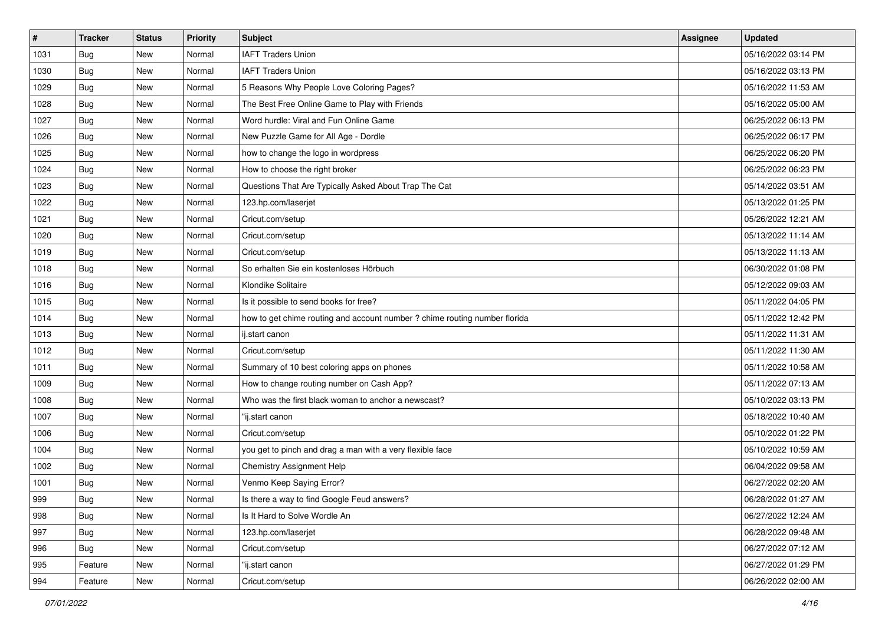| $\vert$ # | <b>Tracker</b> | <b>Status</b> | <b>Priority</b> | Subject                                                                    | <b>Assignee</b> | <b>Updated</b>      |
|-----------|----------------|---------------|-----------------|----------------------------------------------------------------------------|-----------------|---------------------|
| 1031      | <b>Bug</b>     | New           | Normal          | <b>IAFT Traders Union</b>                                                  |                 | 05/16/2022 03:14 PM |
| 1030      | <b>Bug</b>     | New           | Normal          | <b>IAFT Traders Union</b>                                                  |                 | 05/16/2022 03:13 PM |
| 1029      | Bug            | New           | Normal          | 5 Reasons Why People Love Coloring Pages?                                  |                 | 05/16/2022 11:53 AM |
| 1028      | <b>Bug</b>     | New           | Normal          | The Best Free Online Game to Play with Friends                             |                 | 05/16/2022 05:00 AM |
| 1027      | Bug            | New           | Normal          | Word hurdle: Viral and Fun Online Game                                     |                 | 06/25/2022 06:13 PM |
| 1026      | <b>Bug</b>     | New           | Normal          | New Puzzle Game for All Age - Dordle                                       |                 | 06/25/2022 06:17 PM |
| 1025      | Bug            | New           | Normal          | how to change the logo in wordpress                                        |                 | 06/25/2022 06:20 PM |
| 1024      | <b>Bug</b>     | New           | Normal          | How to choose the right broker                                             |                 | 06/25/2022 06:23 PM |
| 1023      | <b>Bug</b>     | New           | Normal          | Questions That Are Typically Asked About Trap The Cat                      |                 | 05/14/2022 03:51 AM |
| 1022      | <b>Bug</b>     | New           | Normal          | 123.hp.com/laserjet                                                        |                 | 05/13/2022 01:25 PM |
| 1021      | <b>Bug</b>     | New           | Normal          | Cricut.com/setup                                                           |                 | 05/26/2022 12:21 AM |
| 1020      | <b>Bug</b>     | New           | Normal          | Cricut.com/setup                                                           |                 | 05/13/2022 11:14 AM |
| 1019      | Bug            | New           | Normal          | Cricut.com/setup                                                           |                 | 05/13/2022 11:13 AM |
| 1018      | Bug            | New           | Normal          | So erhalten Sie ein kostenloses Hörbuch                                    |                 | 06/30/2022 01:08 PM |
| 1016      | Bug            | New           | Normal          | Klondike Solitaire                                                         |                 | 05/12/2022 09:03 AM |
| 1015      | Bug            | New           | Normal          | Is it possible to send books for free?                                     |                 | 05/11/2022 04:05 PM |
| 1014      | <b>Bug</b>     | New           | Normal          | how to get chime routing and account number ? chime routing number florida |                 | 05/11/2022 12:42 PM |
| 1013      | Bug            | New           | Normal          | ij.start canon                                                             |                 | 05/11/2022 11:31 AM |
| 1012      | Bug            | New           | Normal          | Cricut.com/setup                                                           |                 | 05/11/2022 11:30 AM |
| 1011      | Bug            | New           | Normal          | Summary of 10 best coloring apps on phones                                 |                 | 05/11/2022 10:58 AM |
| 1009      | <b>Bug</b>     | New           | Normal          | How to change routing number on Cash App?                                  |                 | 05/11/2022 07:13 AM |
| 1008      | <b>Bug</b>     | New           | Normal          | Who was the first black woman to anchor a newscast?                        |                 | 05/10/2022 03:13 PM |
| 1007      | <b>Bug</b>     | New           | Normal          | "ij.start canon                                                            |                 | 05/18/2022 10:40 AM |
| 1006      | Bug            | New           | Normal          | Cricut.com/setup                                                           |                 | 05/10/2022 01:22 PM |
| 1004      | Bug            | New           | Normal          | you get to pinch and drag a man with a very flexible face                  |                 | 05/10/2022 10:59 AM |
| 1002      | Bug            | New           | Normal          | Chemistry Assignment Help                                                  |                 | 06/04/2022 09:58 AM |
| 1001      | Bug            | New           | Normal          | Venmo Keep Saying Error?                                                   |                 | 06/27/2022 02:20 AM |
| 999       | <b>Bug</b>     | New           | Normal          | Is there a way to find Google Feud answers?                                |                 | 06/28/2022 01:27 AM |
| 998       | Bug            | New           | Normal          | Is It Hard to Solve Wordle An                                              |                 | 06/27/2022 12:24 AM |
| 997       | <b>Bug</b>     | New           | Normal          | 123.hp.com/laserjet                                                        |                 | 06/28/2022 09:48 AM |
| 996       | <b>Bug</b>     | New           | Normal          | Cricut.com/setup                                                           |                 | 06/27/2022 07:12 AM |
| 995       | Feature        | New           | Normal          | "ij.start canon                                                            |                 | 06/27/2022 01:29 PM |
| 994       | Feature        | New           | Normal          | Cricut.com/setup                                                           |                 | 06/26/2022 02:00 AM |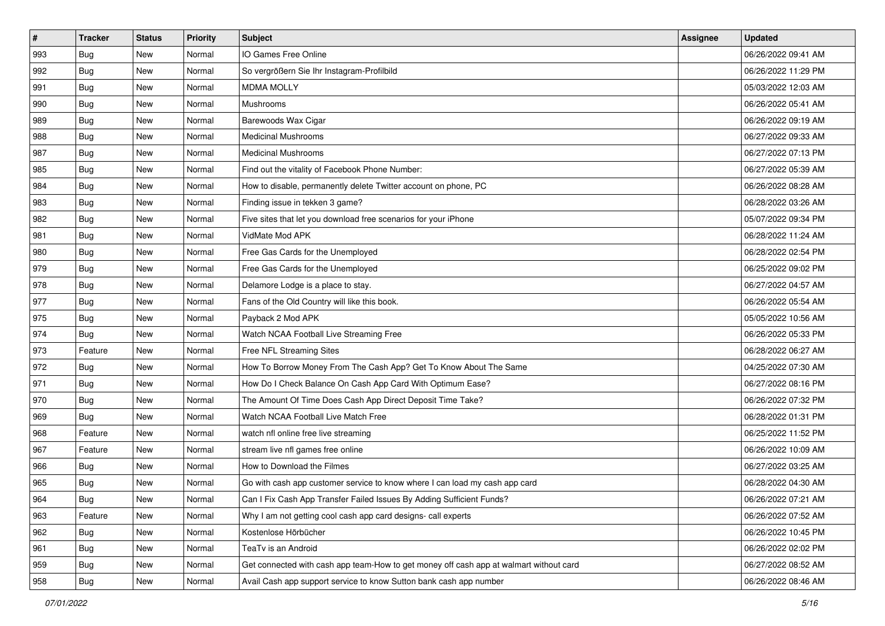| $\sharp$ | <b>Tracker</b> | <b>Status</b> | <b>Priority</b> | <b>Subject</b>                                                                         | <b>Assignee</b> | <b>Updated</b>      |
|----------|----------------|---------------|-----------------|----------------------------------------------------------------------------------------|-----------------|---------------------|
| 993      | <b>Bug</b>     | New           | Normal          | IO Games Free Online                                                                   |                 | 06/26/2022 09:41 AM |
| 992      | Bug            | New           | Normal          | So vergrößern Sie Ihr Instagram-Profilbild                                             |                 | 06/26/2022 11:29 PM |
| 991      | Bug            | New           | Normal          | <b>MDMA MOLLY</b>                                                                      |                 | 05/03/2022 12:03 AM |
| 990      | <b>Bug</b>     | New           | Normal          | Mushrooms                                                                              |                 | 06/26/2022 05:41 AM |
| 989      | Bug            | New           | Normal          | Barewoods Wax Cigar                                                                    |                 | 06/26/2022 09:19 AM |
| 988      | <b>Bug</b>     | New           | Normal          | <b>Medicinal Mushrooms</b>                                                             |                 | 06/27/2022 09:33 AM |
| 987      | <b>Bug</b>     | New           | Normal          | <b>Medicinal Mushrooms</b>                                                             |                 | 06/27/2022 07:13 PM |
| 985      | <b>Bug</b>     | New           | Normal          | Find out the vitality of Facebook Phone Number:                                        |                 | 06/27/2022 05:39 AM |
| 984      | Bug            | New           | Normal          | How to disable, permanently delete Twitter account on phone, PC                        |                 | 06/26/2022 08:28 AM |
| 983      | Bug            | New           | Normal          | Finding issue in tekken 3 game?                                                        |                 | 06/28/2022 03:26 AM |
| 982      | <b>Bug</b>     | New           | Normal          | Five sites that let you download free scenarios for your iPhone                        |                 | 05/07/2022 09:34 PM |
| 981      | <b>Bug</b>     | New           | Normal          | VidMate Mod APK                                                                        |                 | 06/28/2022 11:24 AM |
| 980      | Bug            | New           | Normal          | Free Gas Cards for the Unemployed                                                      |                 | 06/28/2022 02:54 PM |
| 979      | Bug            | New           | Normal          | Free Gas Cards for the Unemployed                                                      |                 | 06/25/2022 09:02 PM |
| 978      | Bug            | New           | Normal          | Delamore Lodge is a place to stay.                                                     |                 | 06/27/2022 04:57 AM |
| 977      | Bug            | New           | Normal          | Fans of the Old Country will like this book.                                           |                 | 06/26/2022 05:54 AM |
| 975      | Bug            | New           | Normal          | Payback 2 Mod APK                                                                      |                 | 05/05/2022 10:56 AM |
| 974      | Bug            | New           | Normal          | Watch NCAA Football Live Streaming Free                                                |                 | 06/26/2022 05:33 PM |
| 973      | Feature        | New           | Normal          | Free NFL Streaming Sites                                                               |                 | 06/28/2022 06:27 AM |
| 972      | Bug            | New           | Normal          | How To Borrow Money From The Cash App? Get To Know About The Same                      |                 | 04/25/2022 07:30 AM |
| 971      | Bug            | New           | Normal          | How Do I Check Balance On Cash App Card With Optimum Ease?                             |                 | 06/27/2022 08:16 PM |
| 970      | Bug            | New           | Normal          | The Amount Of Time Does Cash App Direct Deposit Time Take?                             |                 | 06/26/2022 07:32 PM |
| 969      | Bug            | New           | Normal          | Watch NCAA Football Live Match Free                                                    |                 | 06/28/2022 01:31 PM |
| 968      | Feature        | New           | Normal          | watch nfl online free live streaming                                                   |                 | 06/25/2022 11:52 PM |
| 967      | Feature        | New           | Normal          | stream live nfl games free online                                                      |                 | 06/26/2022 10:09 AM |
| 966      | Bug            | New           | Normal          | How to Download the Filmes                                                             |                 | 06/27/2022 03:25 AM |
| 965      | <b>Bug</b>     | New           | Normal          | Go with cash app customer service to know where I can load my cash app card            |                 | 06/28/2022 04:30 AM |
| 964      | Bug            | New           | Normal          | Can I Fix Cash App Transfer Failed Issues By Adding Sufficient Funds?                  |                 | 06/26/2022 07:21 AM |
| 963      | Feature        | New           | Normal          | Why I am not getting cool cash app card designs- call experts                          |                 | 06/26/2022 07:52 AM |
| 962      | Bug            | New           | Normal          | Kostenlose Hörbücher                                                                   |                 | 06/26/2022 10:45 PM |
| 961      | <b>Bug</b>     | New           | Normal          | TeaTv is an Android                                                                    |                 | 06/26/2022 02:02 PM |
| 959      | Bug            | New           | Normal          | Get connected with cash app team-How to get money off cash app at walmart without card |                 | 06/27/2022 08:52 AM |
| 958      | <b>Bug</b>     | New           | Normal          | Avail Cash app support service to know Sutton bank cash app number                     |                 | 06/26/2022 08:46 AM |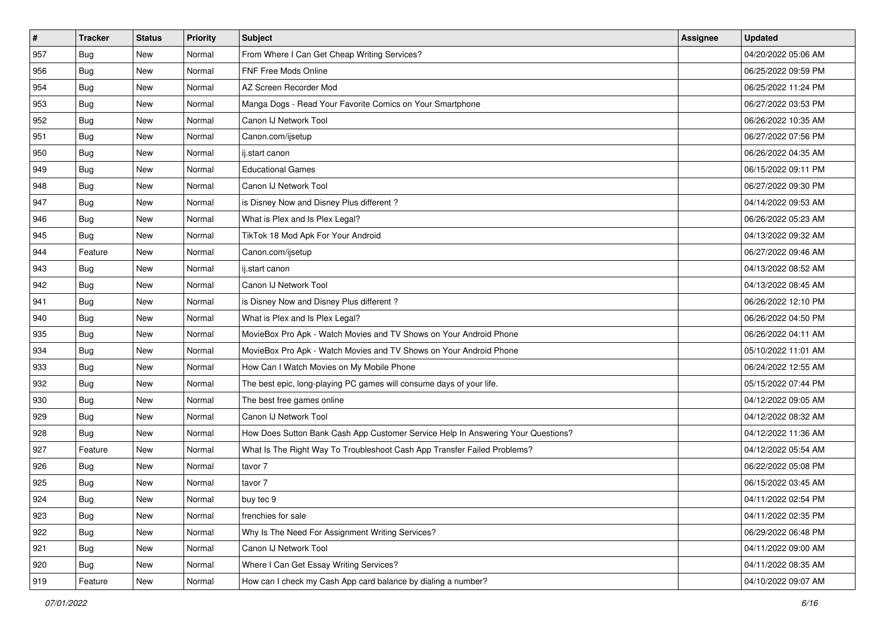| #   | <b>Tracker</b> | <b>Status</b> | <b>Priority</b> | Subject                                                                          | Assignee | <b>Updated</b>      |
|-----|----------------|---------------|-----------------|----------------------------------------------------------------------------------|----------|---------------------|
| 957 | <b>Bug</b>     | New           | Normal          | From Where I Can Get Cheap Writing Services?                                     |          | 04/20/2022 05:06 AM |
| 956 | Bug            | New           | Normal          | FNF Free Mods Online                                                             |          | 06/25/2022 09:59 PM |
| 954 | <b>Bug</b>     | New           | Normal          | AZ Screen Recorder Mod                                                           |          | 06/25/2022 11:24 PM |
| 953 | <b>Bug</b>     | New           | Normal          | Manga Dogs - Read Your Favorite Comics on Your Smartphone                        |          | 06/27/2022 03:53 PM |
| 952 | Bug            | New           | Normal          | Canon IJ Network Tool                                                            |          | 06/26/2022 10:35 AM |
| 951 | <b>Bug</b>     | New           | Normal          | Canon.com/ijsetup                                                                |          | 06/27/2022 07:56 PM |
| 950 | <b>Bug</b>     | New           | Normal          | ij.start canon                                                                   |          | 06/26/2022 04:35 AM |
| 949 | Bug            | New           | Normal          | <b>Educational Games</b>                                                         |          | 06/15/2022 09:11 PM |
| 948 | Bug            | New           | Normal          | Canon IJ Network Tool                                                            |          | 06/27/2022 09:30 PM |
| 947 | <b>Bug</b>     | New           | Normal          | is Disney Now and Disney Plus different?                                         |          | 04/14/2022 09:53 AM |
| 946 | Bug            | New           | Normal          | What is Plex and Is Plex Legal?                                                  |          | 06/26/2022 05:23 AM |
| 945 | <b>Bug</b>     | New           | Normal          | TikTok 18 Mod Apk For Your Android                                               |          | 04/13/2022 09:32 AM |
| 944 | Feature        | New           | Normal          | Canon.com/ijsetup                                                                |          | 06/27/2022 09:46 AM |
| 943 | <b>Bug</b>     | New           | Normal          | ij.start canon                                                                   |          | 04/13/2022 08:52 AM |
| 942 | Bug            | New           | Normal          | Canon IJ Network Tool                                                            |          | 04/13/2022 08:45 AM |
| 941 | Bug            | New           | Normal          | is Disney Now and Disney Plus different?                                         |          | 06/26/2022 12:10 PM |
| 940 | <b>Bug</b>     | New           | Normal          | What is Plex and Is Plex Legal?                                                  |          | 06/26/2022 04:50 PM |
| 935 | Bug            | New           | Normal          | MovieBox Pro Apk - Watch Movies and TV Shows on Your Android Phone               |          | 06/26/2022 04:11 AM |
| 934 | <b>Bug</b>     | New           | Normal          | MovieBox Pro Apk - Watch Movies and TV Shows on Your Android Phone               |          | 05/10/2022 11:01 AM |
| 933 | Bug            | New           | Normal          | How Can I Watch Movies on My Mobile Phone                                        |          | 06/24/2022 12:55 AM |
| 932 | Bug            | New           | Normal          | The best epic, long-playing PC games will consume days of your life.             |          | 05/15/2022 07:44 PM |
| 930 | <b>Bug</b>     | New           | Normal          | The best free games online                                                       |          | 04/12/2022 09:05 AM |
| 929 | <b>Bug</b>     | New           | Normal          | Canon IJ Network Tool                                                            |          | 04/12/2022 08:32 AM |
| 928 | <b>Bug</b>     | New           | Normal          | How Does Sutton Bank Cash App Customer Service Help In Answering Your Questions? |          | 04/12/2022 11:36 AM |
| 927 | Feature        | New           | Normal          | What Is The Right Way To Troubleshoot Cash App Transfer Failed Problems?         |          | 04/12/2022 05:54 AM |
| 926 | <b>Bug</b>     | New           | Normal          | tavor 7                                                                          |          | 06/22/2022 05:08 PM |
| 925 | Bug            | New           | Normal          | tavor 7                                                                          |          | 06/15/2022 03:45 AM |
| 924 | Bug            | New           | Normal          | buy tec 9                                                                        |          | 04/11/2022 02:54 PM |
| 923 | <b>Bug</b>     | New           | Normal          | frenchies for sale                                                               |          | 04/11/2022 02:35 PM |
| 922 | <b>Bug</b>     | New           | Normal          | Why Is The Need For Assignment Writing Services?                                 |          | 06/29/2022 06:48 PM |
| 921 | Bug            | New           | Normal          | Canon IJ Network Tool                                                            |          | 04/11/2022 09:00 AM |
| 920 | <b>Bug</b>     | New           | Normal          | Where I Can Get Essay Writing Services?                                          |          | 04/11/2022 08:35 AM |
| 919 | Feature        | New           | Normal          | How can I check my Cash App card balance by dialing a number?                    |          | 04/10/2022 09:07 AM |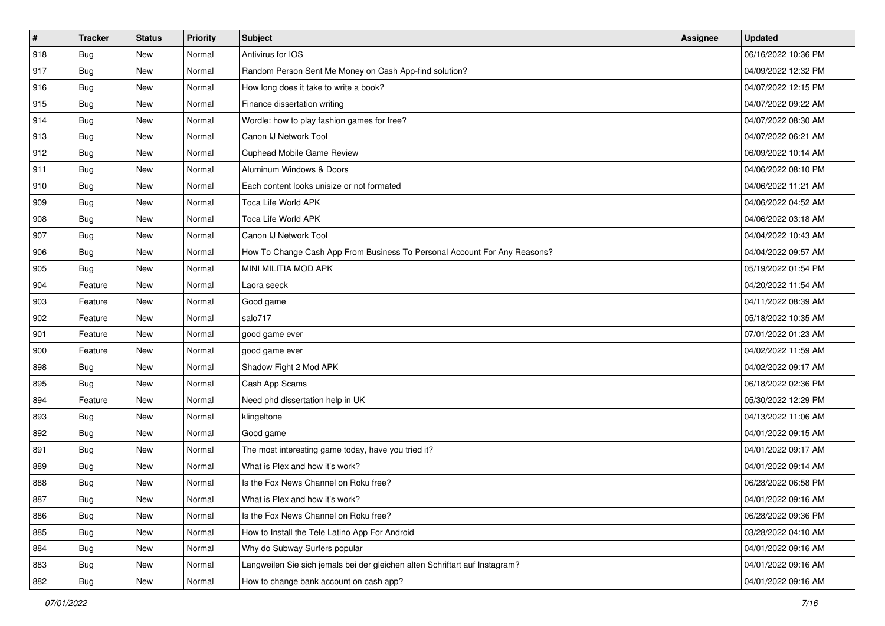| $\vert$ # | <b>Tracker</b> | <b>Status</b> | <b>Priority</b> | <b>Subject</b>                                                              | <b>Assignee</b> | <b>Updated</b>      |
|-----------|----------------|---------------|-----------------|-----------------------------------------------------------------------------|-----------------|---------------------|
| 918       | <b>Bug</b>     | New           | Normal          | Antivirus for IOS                                                           |                 | 06/16/2022 10:36 PM |
| 917       | Bug            | New           | Normal          | Random Person Sent Me Money on Cash App-find solution?                      |                 | 04/09/2022 12:32 PM |
| 916       | Bug            | New           | Normal          | How long does it take to write a book?                                      |                 | 04/07/2022 12:15 PM |
| 915       | <b>Bug</b>     | New           | Normal          | Finance dissertation writing                                                |                 | 04/07/2022 09:22 AM |
| 914       | Bug            | New           | Normal          | Wordle: how to play fashion games for free?                                 |                 | 04/07/2022 08:30 AM |
| 913       | <b>Bug</b>     | New           | Normal          | Canon IJ Network Tool                                                       |                 | 04/07/2022 06:21 AM |
| 912       | Bug            | New           | Normal          | <b>Cuphead Mobile Game Review</b>                                           |                 | 06/09/2022 10:14 AM |
| 911       | <b>Bug</b>     | New           | Normal          | Aluminum Windows & Doors                                                    |                 | 04/06/2022 08:10 PM |
| 910       | Bug            | New           | Normal          | Each content looks unisize or not formated                                  |                 | 04/06/2022 11:21 AM |
| 909       | Bug            | New           | Normal          | Toca Life World APK                                                         |                 | 04/06/2022 04:52 AM |
| 908       | <b>Bug</b>     | New           | Normal          | Toca Life World APK                                                         |                 | 04/06/2022 03:18 AM |
| 907       | <b>Bug</b>     | New           | Normal          | Canon IJ Network Tool                                                       |                 | 04/04/2022 10:43 AM |
| 906       | Bug            | New           | Normal          | How To Change Cash App From Business To Personal Account For Any Reasons?   |                 | 04/04/2022 09:57 AM |
| 905       | <b>Bug</b>     | New           | Normal          | MINI MILITIA MOD APK                                                        |                 | 05/19/2022 01:54 PM |
| 904       | Feature        | New           | Normal          | Laora seeck                                                                 |                 | 04/20/2022 11:54 AM |
| 903       | Feature        | New           | Normal          | Good game                                                                   |                 | 04/11/2022 08:39 AM |
| 902       | Feature        | New           | Normal          | salo717                                                                     |                 | 05/18/2022 10:35 AM |
| 901       | Feature        | New           | Normal          | good game ever                                                              |                 | 07/01/2022 01:23 AM |
| 900       | Feature        | New           | Normal          | good game ever                                                              |                 | 04/02/2022 11:59 AM |
| 898       | Bug            | New           | Normal          | Shadow Fight 2 Mod APK                                                      |                 | 04/02/2022 09:17 AM |
| 895       | <b>Bug</b>     | New           | Normal          | Cash App Scams                                                              |                 | 06/18/2022 02:36 PM |
| 894       | Feature        | New           | Normal          | Need phd dissertation help in UK                                            |                 | 05/30/2022 12:29 PM |
| 893       | Bug            | New           | Normal          | klingeltone                                                                 |                 | 04/13/2022 11:06 AM |
| 892       | <b>Bug</b>     | New           | Normal          | Good game                                                                   |                 | 04/01/2022 09:15 AM |
| 891       | Bug            | New           | Normal          | The most interesting game today, have you tried it?                         |                 | 04/01/2022 09:17 AM |
| 889       | Bug            | New           | Normal          | What is Plex and how it's work?                                             |                 | 04/01/2022 09:14 AM |
| 888       | <b>Bug</b>     | New           | Normal          | Is the Fox News Channel on Roku free?                                       |                 | 06/28/2022 06:58 PM |
| 887       | <b>Bug</b>     | New           | Normal          | What is Plex and how it's work?                                             |                 | 04/01/2022 09:16 AM |
| 886       | <b>Bug</b>     | New           | Normal          | Is the Fox News Channel on Roku free?                                       |                 | 06/28/2022 09:36 PM |
| 885       | <b>Bug</b>     | New           | Normal          | How to Install the Tele Latino App For Android                              |                 | 03/28/2022 04:10 AM |
| 884       | Bug            | New           | Normal          | Why do Subway Surfers popular                                               |                 | 04/01/2022 09:16 AM |
| 883       | <b>Bug</b>     | New           | Normal          | Langweilen Sie sich jemals bei der gleichen alten Schriftart auf Instagram? |                 | 04/01/2022 09:16 AM |
| 882       | <b>Bug</b>     | New           | Normal          | How to change bank account on cash app?                                     |                 | 04/01/2022 09:16 AM |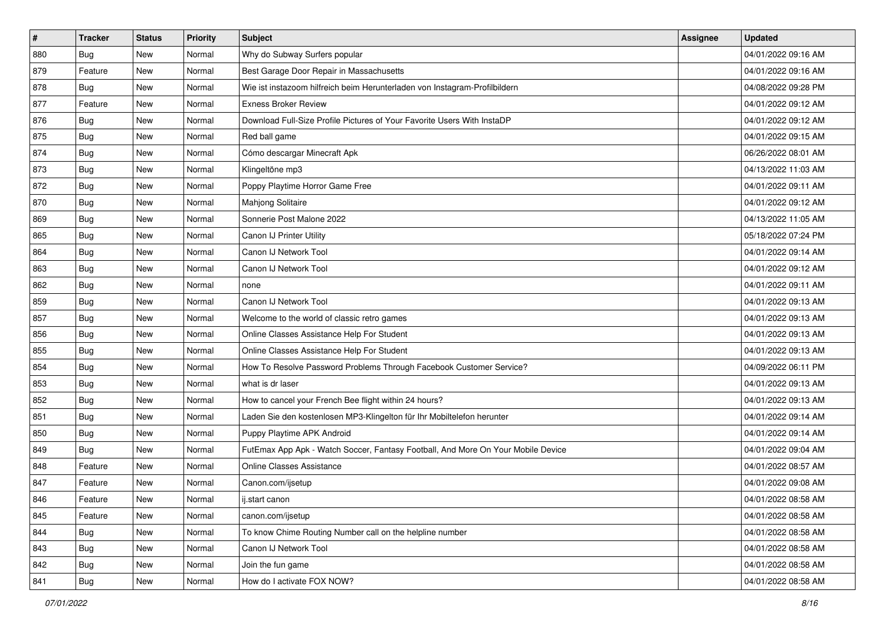| $\sharp$ | <b>Tracker</b> | <b>Status</b> | <b>Priority</b> | <b>Subject</b>                                                                   | <b>Assignee</b> | <b>Updated</b>      |
|----------|----------------|---------------|-----------------|----------------------------------------------------------------------------------|-----------------|---------------------|
| 880      | <b>Bug</b>     | New           | Normal          | Why do Subway Surfers popular                                                    |                 | 04/01/2022 09:16 AM |
| 879      | Feature        | New           | Normal          | Best Garage Door Repair in Massachusetts                                         |                 | 04/01/2022 09:16 AM |
| 878      | Bug            | New           | Normal          | Wie ist instazoom hilfreich beim Herunterladen von Instagram-Profilbildern       |                 | 04/08/2022 09:28 PM |
| 877      | Feature        | New           | Normal          | <b>Exness Broker Review</b>                                                      |                 | 04/01/2022 09:12 AM |
| 876      | Bug            | New           | Normal          | Download Full-Size Profile Pictures of Your Favorite Users With InstaDP          |                 | 04/01/2022 09:12 AM |
| 875      | Bug            | New           | Normal          | Red ball game                                                                    |                 | 04/01/2022 09:15 AM |
| 874      | Bug            | New           | Normal          | Cómo descargar Minecraft Apk                                                     |                 | 06/26/2022 08:01 AM |
| 873      | <b>Bug</b>     | New           | Normal          | Klingeltöne mp3                                                                  |                 | 04/13/2022 11:03 AM |
| 872      | Bug            | New           | Normal          | Poppy Playtime Horror Game Free                                                  |                 | 04/01/2022 09:11 AM |
| 870      | Bug            | New           | Normal          | Mahjong Solitaire                                                                |                 | 04/01/2022 09:12 AM |
| 869      | <b>Bug</b>     | New           | Normal          | Sonnerie Post Malone 2022                                                        |                 | 04/13/2022 11:05 AM |
| 865      | <b>Bug</b>     | New           | Normal          | Canon IJ Printer Utility                                                         |                 | 05/18/2022 07:24 PM |
| 864      | Bug            | New           | Normal          | Canon IJ Network Tool                                                            |                 | 04/01/2022 09:14 AM |
| 863      | Bug            | New           | Normal          | Canon IJ Network Tool                                                            |                 | 04/01/2022 09:12 AM |
| 862      | Bug            | New           | Normal          | none                                                                             |                 | 04/01/2022 09:11 AM |
| 859      | Bug            | New           | Normal          | Canon IJ Network Tool                                                            |                 | 04/01/2022 09:13 AM |
| 857      | <b>Bug</b>     | New           | Normal          | Welcome to the world of classic retro games                                      |                 | 04/01/2022 09:13 AM |
| 856      | Bug            | New           | Normal          | Online Classes Assistance Help For Student                                       |                 | 04/01/2022 09:13 AM |
| 855      | Bug            | New           | Normal          | Online Classes Assistance Help For Student                                       |                 | 04/01/2022 09:13 AM |
| 854      | Bug            | New           | Normal          | How To Resolve Password Problems Through Facebook Customer Service?              |                 | 04/09/2022 06:11 PM |
| 853      | <b>Bug</b>     | New           | Normal          | what is dr laser                                                                 |                 | 04/01/2022 09:13 AM |
| 852      | Bug            | New           | Normal          | How to cancel your French Bee flight within 24 hours?                            |                 | 04/01/2022 09:13 AM |
| 851      | Bug            | New           | Normal          | Laden Sie den kostenlosen MP3-Klingelton für Ihr Mobiltelefon herunter           |                 | 04/01/2022 09:14 AM |
| 850      | <b>Bug</b>     | New           | Normal          | Puppy Playtime APK Android                                                       |                 | 04/01/2022 09:14 AM |
| 849      | Bug            | New           | Normal          | FutEmax App Apk - Watch Soccer, Fantasy Football, And More On Your Mobile Device |                 | 04/01/2022 09:04 AM |
| 848      | Feature        | New           | Normal          | Online Classes Assistance                                                        |                 | 04/01/2022 08:57 AM |
| 847      | Feature        | New           | Normal          | Canon.com/ijsetup                                                                |                 | 04/01/2022 09:08 AM |
| 846      | Feature        | New           | Normal          | ij.start canon                                                                   |                 | 04/01/2022 08:58 AM |
| 845      | Feature        | New           | Normal          | canon.com/ijsetup                                                                |                 | 04/01/2022 08:58 AM |
| 844      | <b>Bug</b>     | New           | Normal          | To know Chime Routing Number call on the helpline number                         |                 | 04/01/2022 08:58 AM |
| 843      | Bug            | New           | Normal          | Canon IJ Network Tool                                                            |                 | 04/01/2022 08:58 AM |
| 842      | <b>Bug</b>     | New           | Normal          | Join the fun game                                                                |                 | 04/01/2022 08:58 AM |
| 841      | <b>Bug</b>     | New           | Normal          | How do I activate FOX NOW?                                                       |                 | 04/01/2022 08:58 AM |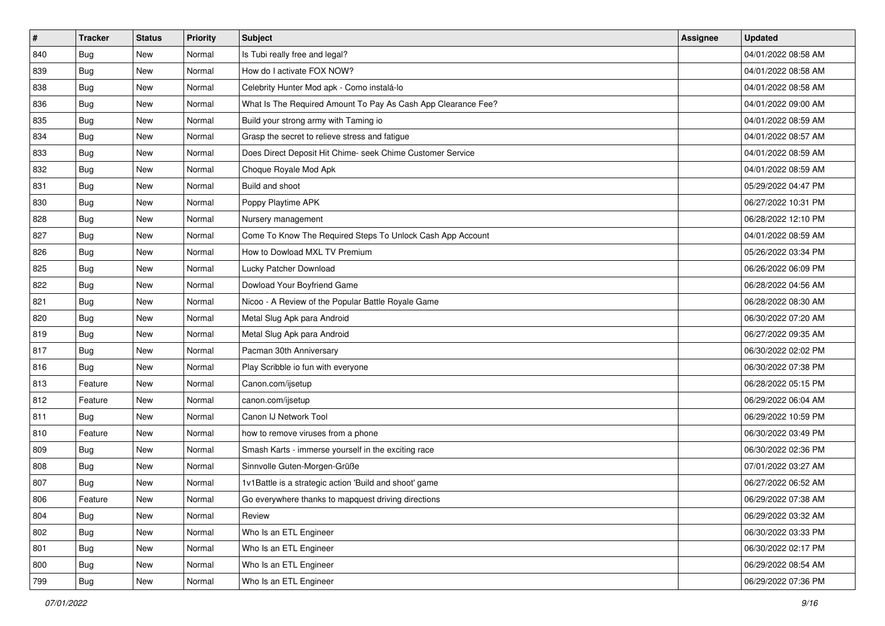| $\sharp$ | <b>Tracker</b> | <b>Status</b> | <b>Priority</b> | Subject                                                       | <b>Assignee</b> | <b>Updated</b>      |
|----------|----------------|---------------|-----------------|---------------------------------------------------------------|-----------------|---------------------|
| 840      | <b>Bug</b>     | New           | Normal          | Is Tubi really free and legal?                                |                 | 04/01/2022 08:58 AM |
| 839      | Bug            | New           | Normal          | How do I activate FOX NOW?                                    |                 | 04/01/2022 08:58 AM |
| 838      | Bug            | New           | Normal          | Celebrity Hunter Mod apk - Como instalá-lo                    |                 | 04/01/2022 08:58 AM |
| 836      | <b>Bug</b>     | New           | Normal          | What Is The Required Amount To Pay As Cash App Clearance Fee? |                 | 04/01/2022 09:00 AM |
| 835      | Bug            | New           | Normal          | Build your strong army with Taming io                         |                 | 04/01/2022 08:59 AM |
| 834      | <b>Bug</b>     | New           | Normal          | Grasp the secret to relieve stress and fatigue                |                 | 04/01/2022 08:57 AM |
| 833      | Bug            | New           | Normal          | Does Direct Deposit Hit Chime- seek Chime Customer Service    |                 | 04/01/2022 08:59 AM |
| 832      | <b>Bug</b>     | New           | Normal          | Choque Royale Mod Apk                                         |                 | 04/01/2022 08:59 AM |
| 831      | Bug            | New           | Normal          | Build and shoot                                               |                 | 05/29/2022 04:47 PM |
| 830      | <b>Bug</b>     | New           | Normal          | Poppy Playtime APK                                            |                 | 06/27/2022 10:31 PM |
| 828      | <b>Bug</b>     | New           | Normal          | Nursery management                                            |                 | 06/28/2022 12:10 PM |
| 827      | <b>Bug</b>     | New           | Normal          | Come To Know The Required Steps To Unlock Cash App Account    |                 | 04/01/2022 08:59 AM |
| 826      | Bug            | New           | Normal          | How to Dowload MXL TV Premium                                 |                 | 05/26/2022 03:34 PM |
| 825      | <b>Bug</b>     | New           | Normal          | Lucky Patcher Download                                        |                 | 06/26/2022 06:09 PM |
| 822      | <b>Bug</b>     | New           | Normal          | Dowload Your Boyfriend Game                                   |                 | 06/28/2022 04:56 AM |
| 821      | Bug            | New           | Normal          | Nicoo - A Review of the Popular Battle Royale Game            |                 | 06/28/2022 08:30 AM |
| 820      | <b>Bug</b>     | New           | Normal          | Metal Slug Apk para Android                                   |                 | 06/30/2022 07:20 AM |
| 819      | Bug            | New           | Normal          | Metal Slug Apk para Android                                   |                 | 06/27/2022 09:35 AM |
| 817      | <b>Bug</b>     | New           | Normal          | Pacman 30th Anniversary                                       |                 | 06/30/2022 02:02 PM |
| 816      | Bug            | New           | Normal          | Play Scribble io fun with everyone                            |                 | 06/30/2022 07:38 PM |
| 813      | Feature        | New           | Normal          | Canon.com/ijsetup                                             |                 | 06/28/2022 05:15 PM |
| 812      | Feature        | New           | Normal          | canon.com/ijsetup                                             |                 | 06/29/2022 06:04 AM |
| 811      | Bug            | New           | Normal          | Canon IJ Network Tool                                         |                 | 06/29/2022 10:59 PM |
| 810      | Feature        | New           | Normal          | how to remove viruses from a phone                            |                 | 06/30/2022 03:49 PM |
| 809      | Bug            | New           | Normal          | Smash Karts - immerse yourself in the exciting race           |                 | 06/30/2022 02:36 PM |
| 808      | Bug            | New           | Normal          | Sinnvolle Guten-Morgen-Grüße                                  |                 | 07/01/2022 03:27 AM |
| 807      | <b>Bug</b>     | New           | Normal          | 1v1Battle is a strategic action 'Build and shoot' game        |                 | 06/27/2022 06:52 AM |
| 806      | Feature        | New           | Normal          | Go everywhere thanks to mapquest driving directions           |                 | 06/29/2022 07:38 AM |
| 804      | Bug            | New           | Normal          | Review                                                        |                 | 06/29/2022 03:32 AM |
| 802      | <b>Bug</b>     | New           | Normal          | Who Is an ETL Engineer                                        |                 | 06/30/2022 03:33 PM |
| 801      | Bug            | New           | Normal          | Who Is an ETL Engineer                                        |                 | 06/30/2022 02:17 PM |
| 800      | <b>Bug</b>     | New           | Normal          | Who Is an ETL Engineer                                        |                 | 06/29/2022 08:54 AM |
| 799      | <b>Bug</b>     | New           | Normal          | Who Is an ETL Engineer                                        |                 | 06/29/2022 07:36 PM |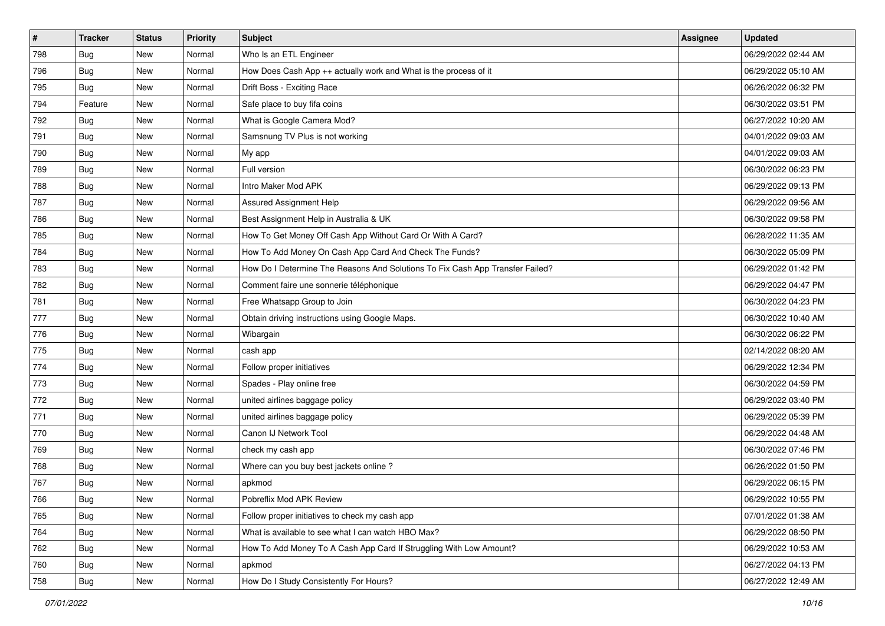| #   | <b>Tracker</b> | <b>Status</b> | <b>Priority</b> | <b>Subject</b>                                                                | Assignee | <b>Updated</b>      |
|-----|----------------|---------------|-----------------|-------------------------------------------------------------------------------|----------|---------------------|
| 798 | <b>Bug</b>     | New           | Normal          | Who Is an ETL Engineer                                                        |          | 06/29/2022 02:44 AM |
| 796 | Bug            | New           | Normal          | How Does Cash App ++ actually work and What is the process of it              |          | 06/29/2022 05:10 AM |
| 795 | <b>Bug</b>     | New           | Normal          | Drift Boss - Exciting Race                                                    |          | 06/26/2022 06:32 PM |
| 794 | Feature        | New           | Normal          | Safe place to buy fifa coins                                                  |          | 06/30/2022 03:51 PM |
| 792 | Bug            | New           | Normal          | What is Google Camera Mod?                                                    |          | 06/27/2022 10:20 AM |
| 791 | <b>Bug</b>     | New           | Normal          | Samsnung TV Plus is not working                                               |          | 04/01/2022 09:03 AM |
| 790 | <b>Bug</b>     | New           | Normal          | My app                                                                        |          | 04/01/2022 09:03 AM |
| 789 | Bug            | New           | Normal          | Full version                                                                  |          | 06/30/2022 06:23 PM |
| 788 | <b>Bug</b>     | New           | Normal          | Intro Maker Mod APK                                                           |          | 06/29/2022 09:13 PM |
| 787 | Bug            | New           | Normal          | Assured Assignment Help                                                       |          | 06/29/2022 09:56 AM |
| 786 | <b>Bug</b>     | New           | Normal          | Best Assignment Help in Australia & UK                                        |          | 06/30/2022 09:58 PM |
| 785 | <b>Bug</b>     | New           | Normal          | How To Get Money Off Cash App Without Card Or With A Card?                    |          | 06/28/2022 11:35 AM |
| 784 | Bug            | New           | Normal          | How To Add Money On Cash App Card And Check The Funds?                        |          | 06/30/2022 05:09 PM |
| 783 | <b>Bug</b>     | New           | Normal          | How Do I Determine The Reasons And Solutions To Fix Cash App Transfer Failed? |          | 06/29/2022 01:42 PM |
| 782 | <b>Bug</b>     | New           | Normal          | Comment faire une sonnerie téléphonique                                       |          | 06/29/2022 04:47 PM |
| 781 | <b>Bug</b>     | New           | Normal          | Free Whatsapp Group to Join                                                   |          | 06/30/2022 04:23 PM |
| 777 | <b>Bug</b>     | New           | Normal          | Obtain driving instructions using Google Maps.                                |          | 06/30/2022 10:40 AM |
| 776 | <b>Bug</b>     | New           | Normal          | Wibargain                                                                     |          | 06/30/2022 06:22 PM |
| 775 | <b>Bug</b>     | New           | Normal          | cash app                                                                      |          | 02/14/2022 08:20 AM |
| 774 | Bug            | New           | Normal          | Follow proper initiatives                                                     |          | 06/29/2022 12:34 PM |
| 773 | <b>Bug</b>     | New           | Normal          | Spades - Play online free                                                     |          | 06/30/2022 04:59 PM |
| 772 | <b>Bug</b>     | New           | Normal          | united airlines baggage policy                                                |          | 06/29/2022 03:40 PM |
| 771 | <b>Bug</b>     | New           | Normal          | united airlines baggage policy                                                |          | 06/29/2022 05:39 PM |
| 770 | <b>Bug</b>     | New           | Normal          | Canon IJ Network Tool                                                         |          | 06/29/2022 04:48 AM |
| 769 | <b>Bug</b>     | New           | Normal          | check my cash app                                                             |          | 06/30/2022 07:46 PM |
| 768 | Bug            | New           | Normal          | Where can you buy best jackets online?                                        |          | 06/26/2022 01:50 PM |
| 767 | <b>Bug</b>     | New           | Normal          | apkmod                                                                        |          | 06/29/2022 06:15 PM |
| 766 | Bug            | New           | Normal          | Pobreflix Mod APK Review                                                      |          | 06/29/2022 10:55 PM |
| 765 | Bug            | New           | Normal          | Follow proper initiatives to check my cash app                                |          | 07/01/2022 01:38 AM |
| 764 | <b>Bug</b>     | New           | Normal          | What is available to see what I can watch HBO Max?                            |          | 06/29/2022 08:50 PM |
| 762 | Bug            | New           | Normal          | How To Add Money To A Cash App Card If Struggling With Low Amount?            |          | 06/29/2022 10:53 AM |
| 760 | Bug            | New           | Normal          | apkmod                                                                        |          | 06/27/2022 04:13 PM |
| 758 | <b>Bug</b>     | New           | Normal          | How Do I Study Consistently For Hours?                                        |          | 06/27/2022 12:49 AM |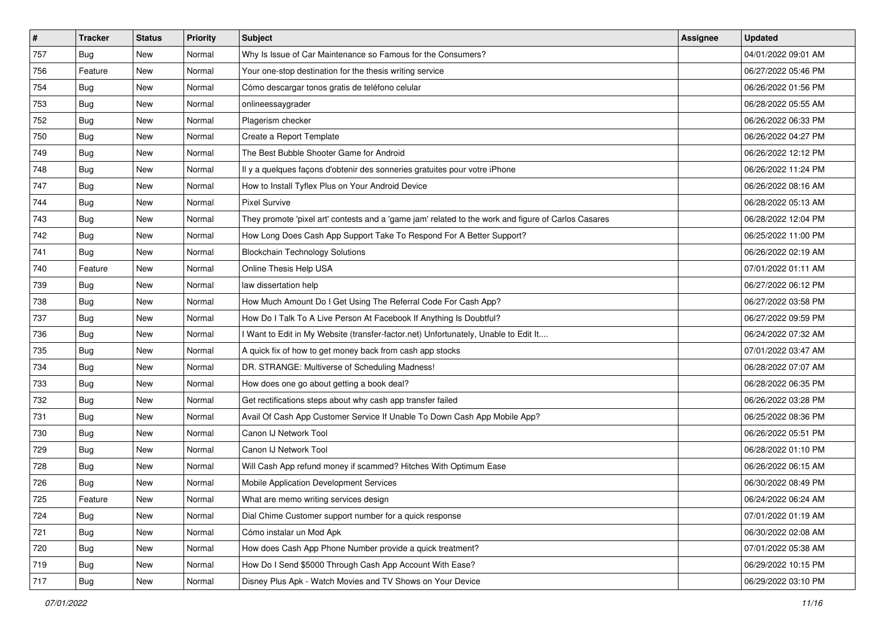| $\vert$ # | <b>Tracker</b> | <b>Status</b> | <b>Priority</b> | <b>Subject</b>                                                                                      | Assignee | <b>Updated</b>      |
|-----------|----------------|---------------|-----------------|-----------------------------------------------------------------------------------------------------|----------|---------------------|
| 757       | <b>Bug</b>     | New           | Normal          | Why Is Issue of Car Maintenance so Famous for the Consumers?                                        |          | 04/01/2022 09:01 AM |
| 756       | Feature        | New           | Normal          | Your one-stop destination for the thesis writing service                                            |          | 06/27/2022 05:46 PM |
| 754       | <b>Bug</b>     | New           | Normal          | Cómo descargar tonos gratis de teléfono celular                                                     |          | 06/26/2022 01:56 PM |
| 753       | <b>Bug</b>     | New           | Normal          | onlineessaygrader                                                                                   |          | 06/28/2022 05:55 AM |
| 752       | Bug            | New           | Normal          | Plagerism checker                                                                                   |          | 06/26/2022 06:33 PM |
| 750       | <b>Bug</b>     | New           | Normal          | Create a Report Template                                                                            |          | 06/26/2022 04:27 PM |
| 749       | <b>Bug</b>     | New           | Normal          | The Best Bubble Shooter Game for Android                                                            |          | 06/26/2022 12:12 PM |
| 748       | <b>Bug</b>     | New           | Normal          | Il y a quelques façons d'obtenir des sonneries gratuites pour votre iPhone                          |          | 06/26/2022 11:24 PM |
| 747       | Bug            | New           | Normal          | How to Install Tyflex Plus on Your Android Device                                                   |          | 06/26/2022 08:16 AM |
| 744       | Bug            | New           | Normal          | <b>Pixel Survive</b>                                                                                |          | 06/28/2022 05:13 AM |
| 743       | <b>Bug</b>     | New           | Normal          | They promote 'pixel art' contests and a 'game jam' related to the work and figure of Carlos Casares |          | 06/28/2022 12:04 PM |
| 742       | Bug            | New           | Normal          | How Long Does Cash App Support Take To Respond For A Better Support?                                |          | 06/25/2022 11:00 PM |
| 741       | Bug            | New           | Normal          | <b>Blockchain Technology Solutions</b>                                                              |          | 06/26/2022 02:19 AM |
| 740       | Feature        | New           | Normal          | Online Thesis Help USA                                                                              |          | 07/01/2022 01:11 AM |
| 739       | <b>Bug</b>     | New           | Normal          | law dissertation help                                                                               |          | 06/27/2022 06:12 PM |
| 738       | <b>Bug</b>     | New           | Normal          | How Much Amount Do I Get Using The Referral Code For Cash App?                                      |          | 06/27/2022 03:58 PM |
| 737       | <b>Bug</b>     | New           | Normal          | How Do I Talk To A Live Person At Facebook If Anything Is Doubtful?                                 |          | 06/27/2022 09:59 PM |
| 736       | Bug            | New           | Normal          | I Want to Edit in My Website (transfer-factor.net) Unfortunately, Unable to Edit It                 |          | 06/24/2022 07:32 AM |
| 735       | Bug            | New           | Normal          | A quick fix of how to get money back from cash app stocks                                           |          | 07/01/2022 03:47 AM |
| 734       | <b>Bug</b>     | New           | Normal          | DR. STRANGE: Multiverse of Scheduling Madness!                                                      |          | 06/28/2022 07:07 AM |
| 733       | Bug            | New           | Normal          | How does one go about getting a book deal?                                                          |          | 06/28/2022 06:35 PM |
| 732       | Bug            | New           | Normal          | Get rectifications steps about why cash app transfer failed                                         |          | 06/26/2022 03:28 PM |
| 731       | <b>Bug</b>     | New           | Normal          | Avail Of Cash App Customer Service If Unable To Down Cash App Mobile App?                           |          | 06/25/2022 08:36 PM |
| 730       | <b>Bug</b>     | New           | Normal          | Canon IJ Network Tool                                                                               |          | 06/26/2022 05:51 PM |
| 729       | Bug            | New           | Normal          | Canon IJ Network Tool                                                                               |          | 06/28/2022 01:10 PM |
| 728       | Bug            | New           | Normal          | Will Cash App refund money if scammed? Hitches With Optimum Ease                                    |          | 06/26/2022 06:15 AM |
| 726       | <b>Bug</b>     | New           | Normal          | Mobile Application Development Services                                                             |          | 06/30/2022 08:49 PM |
| 725       | Feature        | New           | Normal          | What are memo writing services design                                                               |          | 06/24/2022 06:24 AM |
| 724       | Bug            | New           | Normal          | Dial Chime Customer support number for a quick response                                             |          | 07/01/2022 01:19 AM |
| 721       | <b>Bug</b>     | New           | Normal          | Cómo instalar un Mod Apk                                                                            |          | 06/30/2022 02:08 AM |
| 720       | <b>Bug</b>     | New           | Normal          | How does Cash App Phone Number provide a quick treatment?                                           |          | 07/01/2022 05:38 AM |
| 719       | <b>Bug</b>     | New           | Normal          | How Do I Send \$5000 Through Cash App Account With Ease?                                            |          | 06/29/2022 10:15 PM |
| 717       | <b>Bug</b>     | New           | Normal          | Disney Plus Apk - Watch Movies and TV Shows on Your Device                                          |          | 06/29/2022 03:10 PM |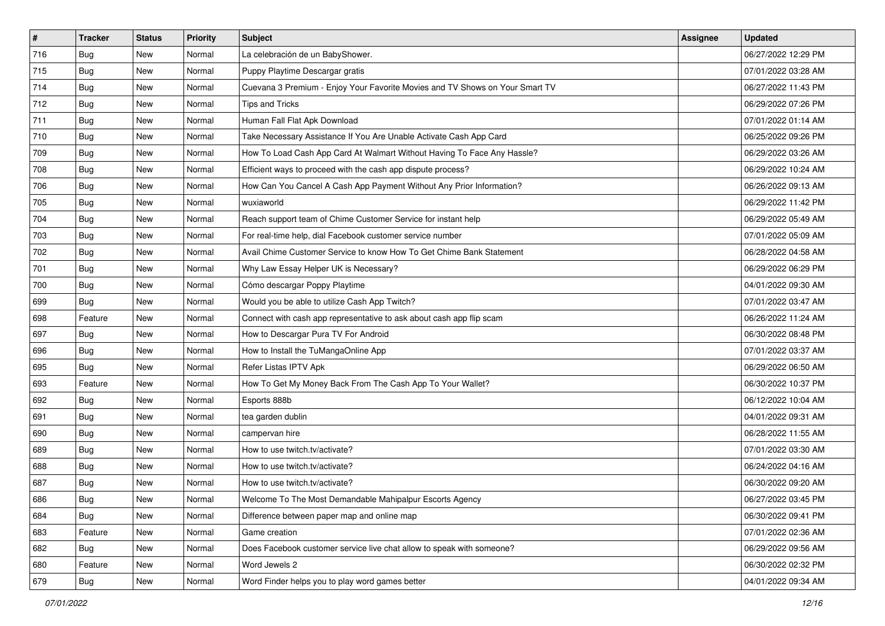| $\vert$ # | <b>Tracker</b> | <b>Status</b> | <b>Priority</b> | Subject                                                                      | Assignee | <b>Updated</b>      |
|-----------|----------------|---------------|-----------------|------------------------------------------------------------------------------|----------|---------------------|
| 716       | <b>Bug</b>     | New           | Normal          | La celebración de un BabyShower.                                             |          | 06/27/2022 12:29 PM |
| 715       | Bug            | New           | Normal          | Puppy Playtime Descargar gratis                                              |          | 07/01/2022 03:28 AM |
| 714       | Bug            | New           | Normal          | Cuevana 3 Premium - Enjoy Your Favorite Movies and TV Shows on Your Smart TV |          | 06/27/2022 11:43 PM |
| 712       | Bug            | New           | Normal          | <b>Tips and Tricks</b>                                                       |          | 06/29/2022 07:26 PM |
| 711       | Bug            | <b>New</b>    | Normal          | Human Fall Flat Apk Download                                                 |          | 07/01/2022 01:14 AM |
| 710       | <b>Bug</b>     | New           | Normal          | Take Necessary Assistance If You Are Unable Activate Cash App Card           |          | 06/25/2022 09:26 PM |
| 709       | Bug            | New           | Normal          | How To Load Cash App Card At Walmart Without Having To Face Any Hassle?      |          | 06/29/2022 03:26 AM |
| 708       | <b>Bug</b>     | New           | Normal          | Efficient ways to proceed with the cash app dispute process?                 |          | 06/29/2022 10:24 AM |
| 706       | <b>Bug</b>     | New           | Normal          | How Can You Cancel A Cash App Payment Without Any Prior Information?         |          | 06/26/2022 09:13 AM |
| 705       | Bug            | New           | Normal          | wuxiaworld                                                                   |          | 06/29/2022 11:42 PM |
| 704       | <b>Bug</b>     | New           | Normal          | Reach support team of Chime Customer Service for instant help                |          | 06/29/2022 05:49 AM |
| 703       | <b>Bug</b>     | New           | Normal          | For real-time help, dial Facebook customer service number                    |          | 07/01/2022 05:09 AM |
| 702       | Bug            | New           | Normal          | Avail Chime Customer Service to know How To Get Chime Bank Statement         |          | 06/28/2022 04:58 AM |
| 701       | <b>Bug</b>     | New           | Normal          | Why Law Essay Helper UK is Necessary?                                        |          | 06/29/2022 06:29 PM |
| 700       | <b>Bug</b>     | New           | Normal          | Cómo descargar Poppy Playtime                                                |          | 04/01/2022 09:30 AM |
| 699       | <b>Bug</b>     | New           | Normal          | Would you be able to utilize Cash App Twitch?                                |          | 07/01/2022 03:47 AM |
| 698       | Feature        | New           | Normal          | Connect with cash app representative to ask about cash app flip scam         |          | 06/26/2022 11:24 AM |
| 697       | Bug            | New           | Normal          | How to Descargar Pura TV For Android                                         |          | 06/30/2022 08:48 PM |
| 696       | Bug            | New           | Normal          | How to Install the TuMangaOnline App                                         |          | 07/01/2022 03:37 AM |
| 695       | Bug            | New           | Normal          | Refer Listas IPTV Apk                                                        |          | 06/29/2022 06:50 AM |
| 693       | Feature        | New           | Normal          | How To Get My Money Back From The Cash App To Your Wallet?                   |          | 06/30/2022 10:37 PM |
| 692       | Bug            | New           | Normal          | Esports 888b                                                                 |          | 06/12/2022 10:04 AM |
| 691       | Bug            | <b>New</b>    | Normal          | tea garden dublin                                                            |          | 04/01/2022 09:31 AM |
| 690       | <b>Bug</b>     | New           | Normal          | campervan hire                                                               |          | 06/28/2022 11:55 AM |
| 689       | Bug            | New           | Normal          | How to use twitch.tv/activate?                                               |          | 07/01/2022 03:30 AM |
| 688       | <b>Bug</b>     | New           | Normal          | How to use twitch.tv/activate?                                               |          | 06/24/2022 04:16 AM |
| 687       | <b>Bug</b>     | New           | Normal          | How to use twitch.tv/activate?                                               |          | 06/30/2022 09:20 AM |
| 686       | I Bug          | New           | Normal          | Welcome To The Most Demandable Mahipalpur Escorts Agency                     |          | 06/27/2022 03:45 PM |
| 684       | <b>Bug</b>     | New           | Normal          | Difference between paper map and online map                                  |          | 06/30/2022 09:41 PM |
| 683       | Feature        | New           | Normal          | Game creation                                                                |          | 07/01/2022 02:36 AM |
| 682       | <b>Bug</b>     | New           | Normal          | Does Facebook customer service live chat allow to speak with someone?        |          | 06/29/2022 09:56 AM |
| 680       | Feature        | New           | Normal          | Word Jewels 2                                                                |          | 06/30/2022 02:32 PM |
| 679       | <b>Bug</b>     | New           | Normal          | Word Finder helps you to play word games better                              |          | 04/01/2022 09:34 AM |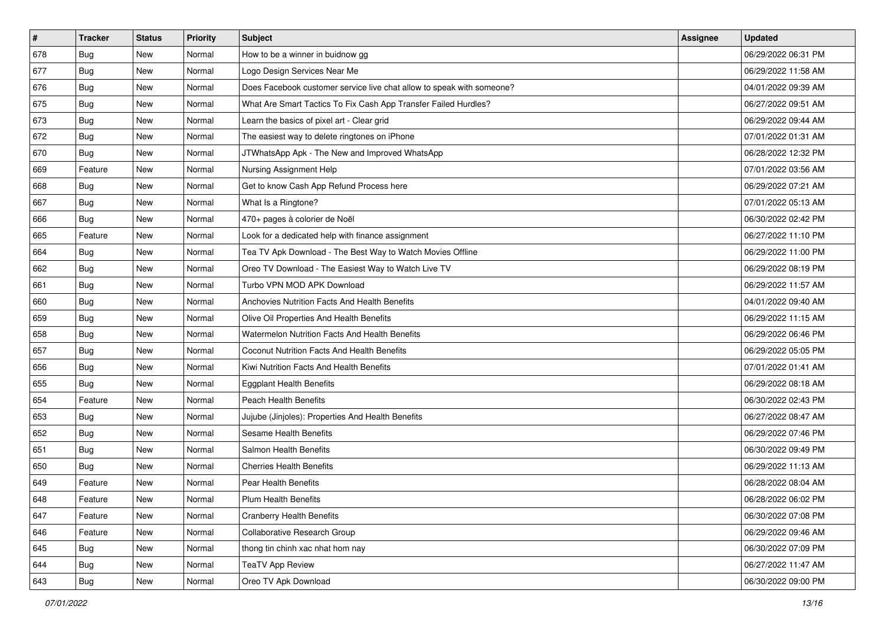| $\vert$ # | <b>Tracker</b> | <b>Status</b> | <b>Priority</b> | <b>Subject</b>                                                        | <b>Assignee</b> | <b>Updated</b>      |
|-----------|----------------|---------------|-----------------|-----------------------------------------------------------------------|-----------------|---------------------|
| 678       | <b>Bug</b>     | New           | Normal          | How to be a winner in buidnow gg                                      |                 | 06/29/2022 06:31 PM |
| 677       | <b>Bug</b>     | New           | Normal          | Logo Design Services Near Me                                          |                 | 06/29/2022 11:58 AM |
| 676       | Bug            | New           | Normal          | Does Facebook customer service live chat allow to speak with someone? |                 | 04/01/2022 09:39 AM |
| 675       | <b>Bug</b>     | New           | Normal          | What Are Smart Tactics To Fix Cash App Transfer Failed Hurdles?       |                 | 06/27/2022 09:51 AM |
| 673       | <b>Bug</b>     | New           | Normal          | Learn the basics of pixel art - Clear grid                            |                 | 06/29/2022 09:44 AM |
| 672       | <b>Bug</b>     | New           | Normal          | The easiest way to delete ringtones on iPhone                         |                 | 07/01/2022 01:31 AM |
| 670       | Bug            | New           | Normal          | JTWhatsApp Apk - The New and Improved WhatsApp                        |                 | 06/28/2022 12:32 PM |
| 669       | Feature        | New           | Normal          | Nursing Assignment Help                                               |                 | 07/01/2022 03:56 AM |
| 668       | <b>Bug</b>     | New           | Normal          | Get to know Cash App Refund Process here                              |                 | 06/29/2022 07:21 AM |
| 667       | Bug            | New           | Normal          | What Is a Ringtone?                                                   |                 | 07/01/2022 05:13 AM |
| 666       | Bug            | New           | Normal          | 470+ pages à colorier de Noël                                         |                 | 06/30/2022 02:42 PM |
| 665       | Feature        | New           | Normal          | Look for a dedicated help with finance assignment                     |                 | 06/27/2022 11:10 PM |
| 664       | Bug            | New           | Normal          | Tea TV Apk Download - The Best Way to Watch Movies Offline            |                 | 06/29/2022 11:00 PM |
| 662       | <b>Bug</b>     | New           | Normal          | Oreo TV Download - The Easiest Way to Watch Live TV                   |                 | 06/29/2022 08:19 PM |
| 661       | <b>Bug</b>     | <b>New</b>    | Normal          | Turbo VPN MOD APK Download                                            |                 | 06/29/2022 11:57 AM |
| 660       | <b>Bug</b>     | New           | Normal          | Anchovies Nutrition Facts And Health Benefits                         |                 | 04/01/2022 09:40 AM |
| 659       | <b>Bug</b>     | New           | Normal          | Olive Oil Properties And Health Benefits                              |                 | 06/29/2022 11:15 AM |
| 658       | Bug            | New           | Normal          | Watermelon Nutrition Facts And Health Benefits                        |                 | 06/29/2022 06:46 PM |
| 657       | Bug            | New           | Normal          | Coconut Nutrition Facts And Health Benefits                           |                 | 06/29/2022 05:05 PM |
| 656       | <b>Bug</b>     | New           | Normal          | Kiwi Nutrition Facts And Health Benefits                              |                 | 07/01/2022 01:41 AM |
| 655       | Bug            | New           | Normal          | <b>Eggplant Health Benefits</b>                                       |                 | 06/29/2022 08:18 AM |
| 654       | Feature        | New           | Normal          | Peach Health Benefits                                                 |                 | 06/30/2022 02:43 PM |
| 653       | Bug            | New           | Normal          | Jujube (Jinjoles): Properties And Health Benefits                     |                 | 06/27/2022 08:47 AM |
| 652       | Bug            | New           | Normal          | Sesame Health Benefits                                                |                 | 06/29/2022 07:46 PM |
| 651       | <b>Bug</b>     | New           | Normal          | Salmon Health Benefits                                                |                 | 06/30/2022 09:49 PM |
| 650       | <b>Bug</b>     | New           | Normal          | <b>Cherries Health Benefits</b>                                       |                 | 06/29/2022 11:13 AM |
| 649       | Feature        | New           | Normal          | Pear Health Benefits                                                  |                 | 06/28/2022 08:04 AM |
| 648       | Feature        | New           | Normal          | Plum Health Benefits                                                  |                 | 06/28/2022 06:02 PM |
| 647       | Feature        | New           | Normal          | <b>Cranberry Health Benefits</b>                                      |                 | 06/30/2022 07:08 PM |
| 646       | Feature        | New           | Normal          | Collaborative Research Group                                          |                 | 06/29/2022 09:46 AM |
| 645       | <b>Bug</b>     | New           | Normal          | thong tin chinh xac nhat hom nay                                      |                 | 06/30/2022 07:09 PM |
| 644       | <b>Bug</b>     | New           | Normal          | <b>TeaTV App Review</b>                                               |                 | 06/27/2022 11:47 AM |
| 643       | <b>Bug</b>     | New           | Normal          | Oreo TV Apk Download                                                  |                 | 06/30/2022 09:00 PM |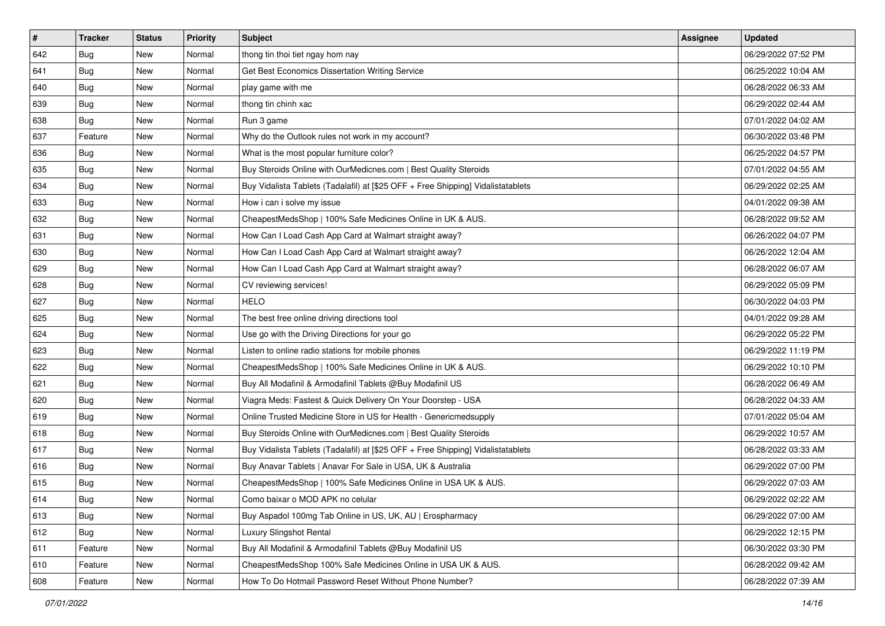| $\sharp$ | <b>Tracker</b> | <b>Status</b> | <b>Priority</b> | Subject                                                                          | <b>Assignee</b> | <b>Updated</b>      |
|----------|----------------|---------------|-----------------|----------------------------------------------------------------------------------|-----------------|---------------------|
| 642      | Bug            | New           | Normal          | thong tin thoi tiet ngay hom nay                                                 |                 | 06/29/2022 07:52 PM |
| 641      | Bug            | New           | Normal          | Get Best Economics Dissertation Writing Service                                  |                 | 06/25/2022 10:04 AM |
| 640      | Bug            | New           | Normal          | play game with me                                                                |                 | 06/28/2022 06:33 AM |
| 639      | <b>Bug</b>     | New           | Normal          | thong tin chinh xac                                                              |                 | 06/29/2022 02:44 AM |
| 638      | Bug            | New           | Normal          | Run 3 game                                                                       |                 | 07/01/2022 04:02 AM |
| 637      | Feature        | New           | Normal          | Why do the Outlook rules not work in my account?                                 |                 | 06/30/2022 03:48 PM |
| 636      | Bug            | New           | Normal          | What is the most popular furniture color?                                        |                 | 06/25/2022 04:57 PM |
| 635      | <b>Bug</b>     | New           | Normal          | Buy Steroids Online with OurMedicnes.com   Best Quality Steroids                 |                 | 07/01/2022 04:55 AM |
| 634      | Bug            | New           | Normal          | Buy Vidalista Tablets (Tadalafil) at [\$25 OFF + Free Shipping] Vidalistatablets |                 | 06/29/2022 02:25 AM |
| 633      | Bug            | New           | Normal          | How i can i solve my issue                                                       |                 | 04/01/2022 09:38 AM |
| 632      | <b>Bug</b>     | New           | Normal          | CheapestMedsShop   100% Safe Medicines Online in UK & AUS.                       |                 | 06/28/2022 09:52 AM |
| 631      | <b>Bug</b>     | New           | Normal          | How Can I Load Cash App Card at Walmart straight away?                           |                 | 06/26/2022 04:07 PM |
| 630      | Bug            | New           | Normal          | How Can I Load Cash App Card at Walmart straight away?                           |                 | 06/26/2022 12:04 AM |
| 629      | Bug            | New           | Normal          | How Can I Load Cash App Card at Walmart straight away?                           |                 | 06/28/2022 06:07 AM |
| 628      | Bug            | New           | Normal          | CV reviewing services!                                                           |                 | 06/29/2022 05:09 PM |
| 627      | Bug            | New           | Normal          | HELO                                                                             |                 | 06/30/2022 04:03 PM |
| 625      | Bug            | New           | Normal          | The best free online driving directions tool                                     |                 | 04/01/2022 09:28 AM |
| 624      | Bug            | New           | Normal          | Use go with the Driving Directions for your go                                   |                 | 06/29/2022 05:22 PM |
| 623      | Bug            | New           | Normal          | Listen to online radio stations for mobile phones                                |                 | 06/29/2022 11:19 PM |
| 622      | Bug            | New           | Normal          | CheapestMedsShop   100% Safe Medicines Online in UK & AUS.                       |                 | 06/29/2022 10:10 PM |
| 621      | Bug            | New           | Normal          | Buy All Modafinil & Armodafinil Tablets @Buy Modafinil US                        |                 | 06/28/2022 06:49 AM |
| 620      | Bug            | New           | Normal          | Viagra Meds: Fastest & Quick Delivery On Your Doorstep - USA                     |                 | 06/28/2022 04:33 AM |
| 619      | Bug            | New           | Normal          | Online Trusted Medicine Store in US for Health - Genericmedsupply                |                 | 07/01/2022 05:04 AM |
| 618      | <b>Bug</b>     | New           | Normal          | Buy Steroids Online with OurMedicnes.com   Best Quality Steroids                 |                 | 06/29/2022 10:57 AM |
| 617      | Bug            | New           | Normal          | Buy Vidalista Tablets (Tadalafil) at [\$25 OFF + Free Shipping] Vidalistatablets |                 | 06/28/2022 03:33 AM |
| 616      | Bug            | New           | Normal          | Buy Anavar Tablets   Anavar For Sale in USA, UK & Australia                      |                 | 06/29/2022 07:00 PM |
| 615      | <b>Bug</b>     | New           | Normal          | CheapestMedsShop   100% Safe Medicines Online in USA UK & AUS.                   |                 | 06/29/2022 07:03 AM |
| 614      | Bug            | New           | Normal          | Como baixar o MOD APK no celular                                                 |                 | 06/29/2022 02:22 AM |
| 613      | <b>Bug</b>     | New           | Normal          | Buy Aspadol 100mg Tab Online in US, UK, AU   Erospharmacy                        |                 | 06/29/2022 07:00 AM |
| 612      | Bug            | New           | Normal          | Luxury Slingshot Rental                                                          |                 | 06/29/2022 12:15 PM |
| 611      | Feature        | New           | Normal          | Buy All Modafinil & Armodafinil Tablets @Buy Modafinil US                        |                 | 06/30/2022 03:30 PM |
| 610      | Feature        | New           | Normal          | CheapestMedsShop 100% Safe Medicines Online in USA UK & AUS.                     |                 | 06/28/2022 09:42 AM |
| 608      | Feature        | New           | Normal          | How To Do Hotmail Password Reset Without Phone Number?                           |                 | 06/28/2022 07:39 AM |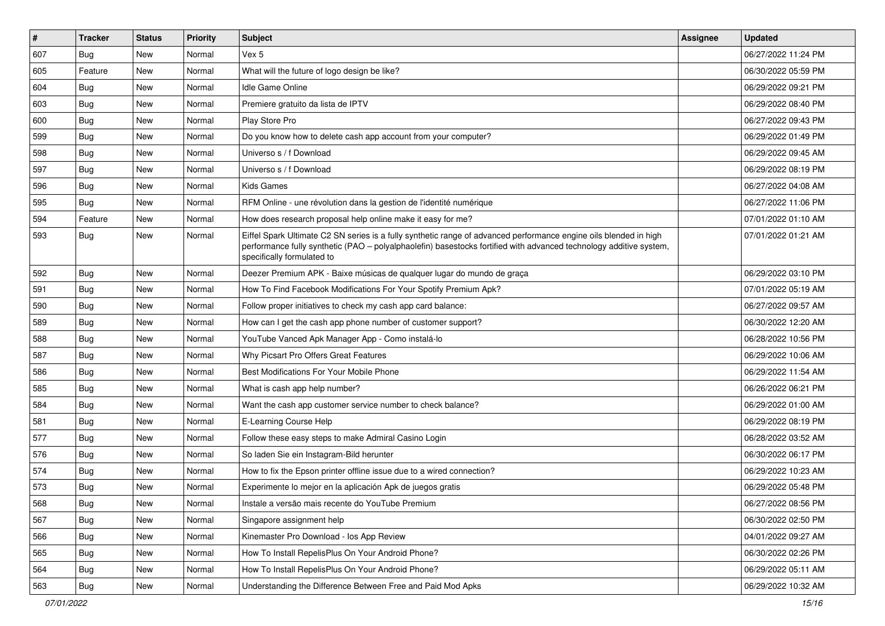| $\vert$ # | <b>Tracker</b> | <b>Status</b> | <b>Priority</b> | <b>Subject</b>                                                                                                                                                                                                                                                        | Assignee | <b>Updated</b>      |
|-----------|----------------|---------------|-----------------|-----------------------------------------------------------------------------------------------------------------------------------------------------------------------------------------------------------------------------------------------------------------------|----------|---------------------|
| 607       | <b>Bug</b>     | New           | Normal          | Vex 5                                                                                                                                                                                                                                                                 |          | 06/27/2022 11:24 PM |
| 605       | Feature        | New           | Normal          | What will the future of logo design be like?                                                                                                                                                                                                                          |          | 06/30/2022 05:59 PM |
| 604       | Bug            | New           | Normal          | <b>Idle Game Online</b>                                                                                                                                                                                                                                               |          | 06/29/2022 09:21 PM |
| 603       | <b>Bug</b>     | New           | Normal          | Premiere gratuito da lista de IPTV                                                                                                                                                                                                                                    |          | 06/29/2022 08:40 PM |
| 600       | <b>Bug</b>     | New           | Normal          | Play Store Pro                                                                                                                                                                                                                                                        |          | 06/27/2022 09:43 PM |
| 599       | Bug            | New           | Normal          | Do you know how to delete cash app account from your computer?                                                                                                                                                                                                        |          | 06/29/2022 01:49 PM |
| 598       | <b>Bug</b>     | New           | Normal          | Universo s / f Download                                                                                                                                                                                                                                               |          | 06/29/2022 09:45 AM |
| 597       | <b>Bug</b>     | New           | Normal          | Universo s / f Download                                                                                                                                                                                                                                               |          | 06/29/2022 08:19 PM |
| 596       | Bug            | New           | Normal          | <b>Kids Games</b>                                                                                                                                                                                                                                                     |          | 06/27/2022 04:08 AM |
| 595       | Bug            | New           | Normal          | RFM Online - une révolution dans la gestion de l'identité numérique                                                                                                                                                                                                   |          | 06/27/2022 11:06 PM |
| 594       | Feature        | New           | Normal          | How does research proposal help online make it easy for me?                                                                                                                                                                                                           |          | 07/01/2022 01:10 AM |
| 593       | <b>Bug</b>     | New           | Normal          | Eiffel Spark Ultimate C2 SN series is a fully synthetic range of advanced performance engine oils blended in high<br>performance fully synthetic (PAO - polyalphaolefin) basestocks fortified with advanced technology additive system,<br>specifically formulated to |          | 07/01/2022 01:21 AM |
| 592       | Bug            | New           | Normal          | Deezer Premium APK - Baixe músicas de qualquer lugar do mundo de graça                                                                                                                                                                                                |          | 06/29/2022 03:10 PM |
| 591       | Bug            | New           | Normal          | How To Find Facebook Modifications For Your Spotify Premium Apk?                                                                                                                                                                                                      |          | 07/01/2022 05:19 AM |
| 590       | <b>Bug</b>     | New           | Normal          | Follow proper initiatives to check my cash app card balance:                                                                                                                                                                                                          |          | 06/27/2022 09:57 AM |
| 589       | <b>Bug</b>     | New           | Normal          | How can I get the cash app phone number of customer support?                                                                                                                                                                                                          |          | 06/30/2022 12:20 AM |
| 588       | <b>Bug</b>     | New           | Normal          | YouTube Vanced Apk Manager App - Como instalá-lo                                                                                                                                                                                                                      |          | 06/28/2022 10:56 PM |
| 587       | Bug            | New           | Normal          | Why Picsart Pro Offers Great Features                                                                                                                                                                                                                                 |          | 06/29/2022 10:06 AM |
| 586       | Bug            | New           | Normal          | Best Modifications For Your Mobile Phone                                                                                                                                                                                                                              |          | 06/29/2022 11:54 AM |
| 585       | <b>Bug</b>     | New           | Normal          | What is cash app help number?                                                                                                                                                                                                                                         |          | 06/26/2022 06:21 PM |
| 584       | <b>Bug</b>     | New           | Normal          | Want the cash app customer service number to check balance?                                                                                                                                                                                                           |          | 06/29/2022 01:00 AM |
| 581       | <b>Bug</b>     | New           | Normal          | E-Learning Course Help                                                                                                                                                                                                                                                |          | 06/29/2022 08:19 PM |
| 577       | <b>Bug</b>     | New           | Normal          | Follow these easy steps to make Admiral Casino Login                                                                                                                                                                                                                  |          | 06/28/2022 03:52 AM |
| 576       | Bug            | New           | Normal          | So laden Sie ein Instagram-Bild herunter                                                                                                                                                                                                                              |          | 06/30/2022 06:17 PM |
| 574       | <b>Bug</b>     | New           | Normal          | How to fix the Epson printer offline issue due to a wired connection?                                                                                                                                                                                                 |          | 06/29/2022 10:23 AM |
| 573       | <b>Bug</b>     | New           | Normal          | Experimente lo mejor en la aplicación Apk de juegos gratis                                                                                                                                                                                                            |          | 06/29/2022 05:48 PM |
| 568       | Bug            | New           | Normal          | Instale a versão mais recente do YouTube Premium                                                                                                                                                                                                                      |          | 06/27/2022 08:56 PM |
| 567       | <b>Bug</b>     | New           | Normal          | Singapore assignment help                                                                                                                                                                                                                                             |          | 06/30/2022 02:50 PM |
| 566       | Bug            | New           | Normal          | Kinemaster Pro Download - los App Review                                                                                                                                                                                                                              |          | 04/01/2022 09:27 AM |
| 565       | <b>Bug</b>     | New           | Normal          | How To Install RepelisPlus On Your Android Phone?                                                                                                                                                                                                                     |          | 06/30/2022 02:26 PM |
| 564       | <b>Bug</b>     | New           | Normal          | How To Install RepelisPlus On Your Android Phone?                                                                                                                                                                                                                     |          | 06/29/2022 05:11 AM |
| 563       | <b>Bug</b>     | New           | Normal          | Understanding the Difference Between Free and Paid Mod Apks                                                                                                                                                                                                           |          | 06/29/2022 10:32 AM |